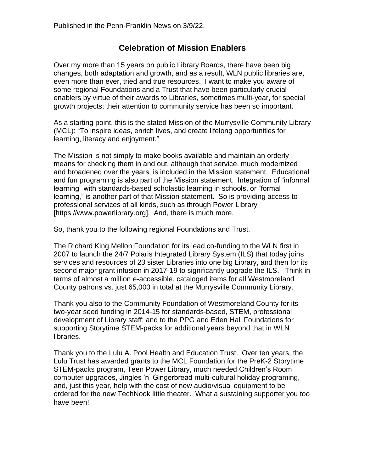## **Celebration of Mission Enablers**

Over my more than 15 years on public Library Boards, there have been big changes, both adaptation and growth, and as a result, WLN public libraries are, even more than ever, tried and true resources. I want to make you aware of some regional Foundations and a Trust that have been particularly crucial enablers by virtue of their awards to Libraries, sometimes multi-year, for special growth projects; their attention to community service has been so important.

As a starting point, this is the stated Mission of the Murrysville Community Library (MCL): "To inspire ideas, enrich lives, and create lifelong opportunities for learning, literacy and enjoyment."

The Mission is not simply to make books available and maintain an orderly means for checking them in and out, although that service, much modernized and broadened over the years, is included in the Mission statement. Educational and fun programing is also part of the Mission statement. Integration of "informal learning" with standards-based scholastic learning in schools, or "formal learning," is another part of that Mission statement. So is providing access to professional services of all kinds, such as through Power Library [https://www.powerlibrary.org]. And, there is much more.

So, thank you to the following regional Foundations and Trust.

The Richard King Mellon Foundation for its lead co-funding to the WLN first in 2007 to launch the 24/7 Polaris Integrated Library System (ILS) that today joins services and resources of 23 sister Libraries into one big Library, and then for its second major grant infusion in 2017-19 to significantly upgrade the ILS. Think in terms of almost a million e-accessible, cataloged items for all Westmoreland County patrons vs. just 65,000 in total at the Murrysville Community Library.

Thank you also to the Community Foundation of Westmoreland County for its two-year seed funding in 2014-15 for standards-based, STEM, professional development of Library staff; and to the PPG and Eden Hall Foundations for supporting Storytime STEM-packs for additional years beyond that in WLN libraries.

Thank you to the Lulu A. Pool Health and Education Trust. Over ten years, the Lulu Trust has awarded grants to the MCL Foundation for the PreK-2 Storytime STEM-packs program, Teen Power Library, much needed Children's Room computer upgrades, Jingles 'n' Gingerbread multi-cultural holiday programing, and, just this year, help with the cost of new audio/visual equipment to be ordered for the new TechNook little theater. What a sustaining supporter you too have been!